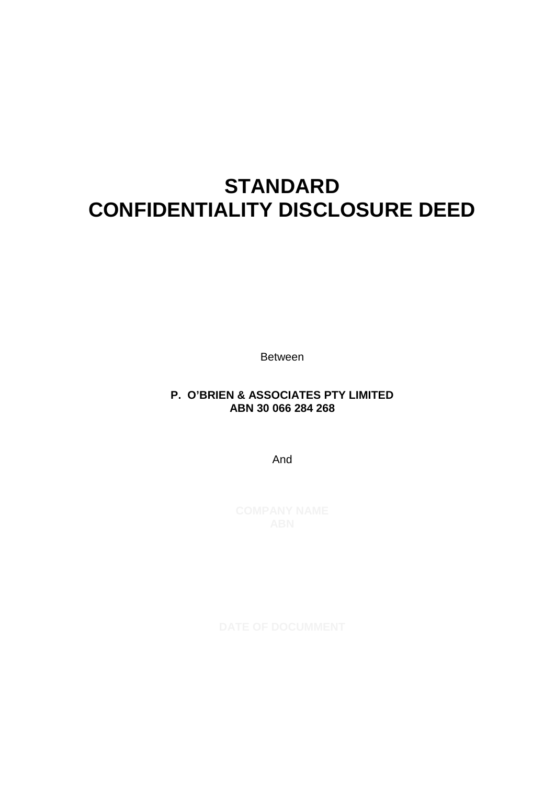# **STANDARD CONFIDENTIALITY DISCLOSURE DEED**

Between

## **P. O'BRIEN & ASSOCIATES PTY LIMITED ABN 30 066 284 268**

And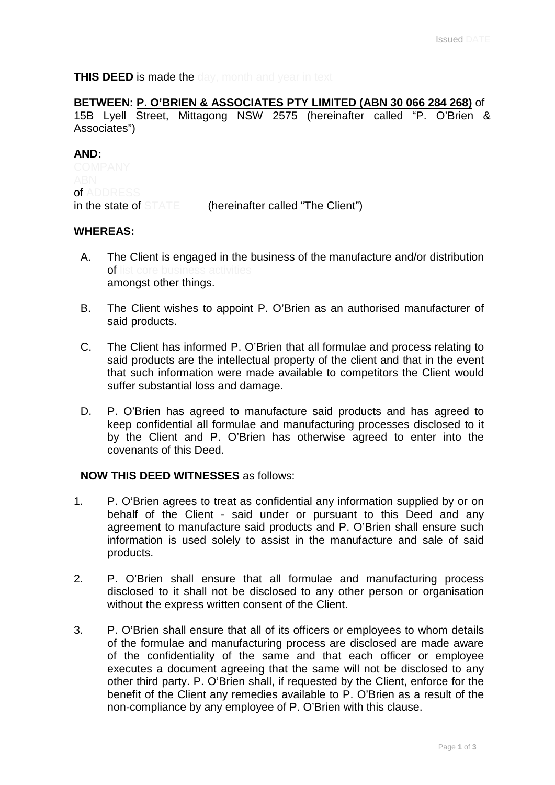**THIS DEED is made the day, month and year in text** 

## **BETWEEN: P. O'BRIEN & ASSOCIATES PTY LIMITED (ABN 30 066 284 268)** of

15B Lyell Street, Mittagong NSW 2575 (hereinafter called "P. O'Brien & Associates")

#### **AND:**

of ADDRESS in the state of STATE (hereinafter called "The Client")

#### **WHEREAS:**

- A. The Client is engaged in the business of the manufacture and/or distribution of list core business activities amongst other things.
- B. The Client wishes to appoint P. O'Brien as an authorised manufacturer of said products.
- C. The Client has informed P. O'Brien that all formulae and process relating to said products are the intellectual property of the client and that in the event that such information were made available to competitors the Client would suffer substantial loss and damage.
- D. P. O'Brien has agreed to manufacture said products and has agreed to keep confidential all formulae and manufacturing processes disclosed to it by the Client and P. O'Brien has otherwise agreed to enter into the covenants of this Deed.

## **NOW THIS DEED WITNESSES** as follows:

- 1. P. O'Brien agrees to treat as confidential any information supplied by or on behalf of the Client - said under or pursuant to this Deed and any agreement to manufacture said products and P. O'Brien shall ensure such information is used solely to assist in the manufacture and sale of said products.
- 2. P. O'Brien shall ensure that all formulae and manufacturing process disclosed to it shall not be disclosed to any other person or organisation without the express written consent of the Client.
- 3. P. O'Brien shall ensure that all of its officers or employees to whom details of the formulae and manufacturing process are disclosed are made aware of the confidentiality of the same and that each officer or employee executes a document agreeing that the same will not be disclosed to any other third party. P. O'Brien shall, if requested by the Client, enforce for the benefit of the Client any remedies available to P. O'Brien as a result of the non-compliance by any employee of P. O'Brien with this clause.